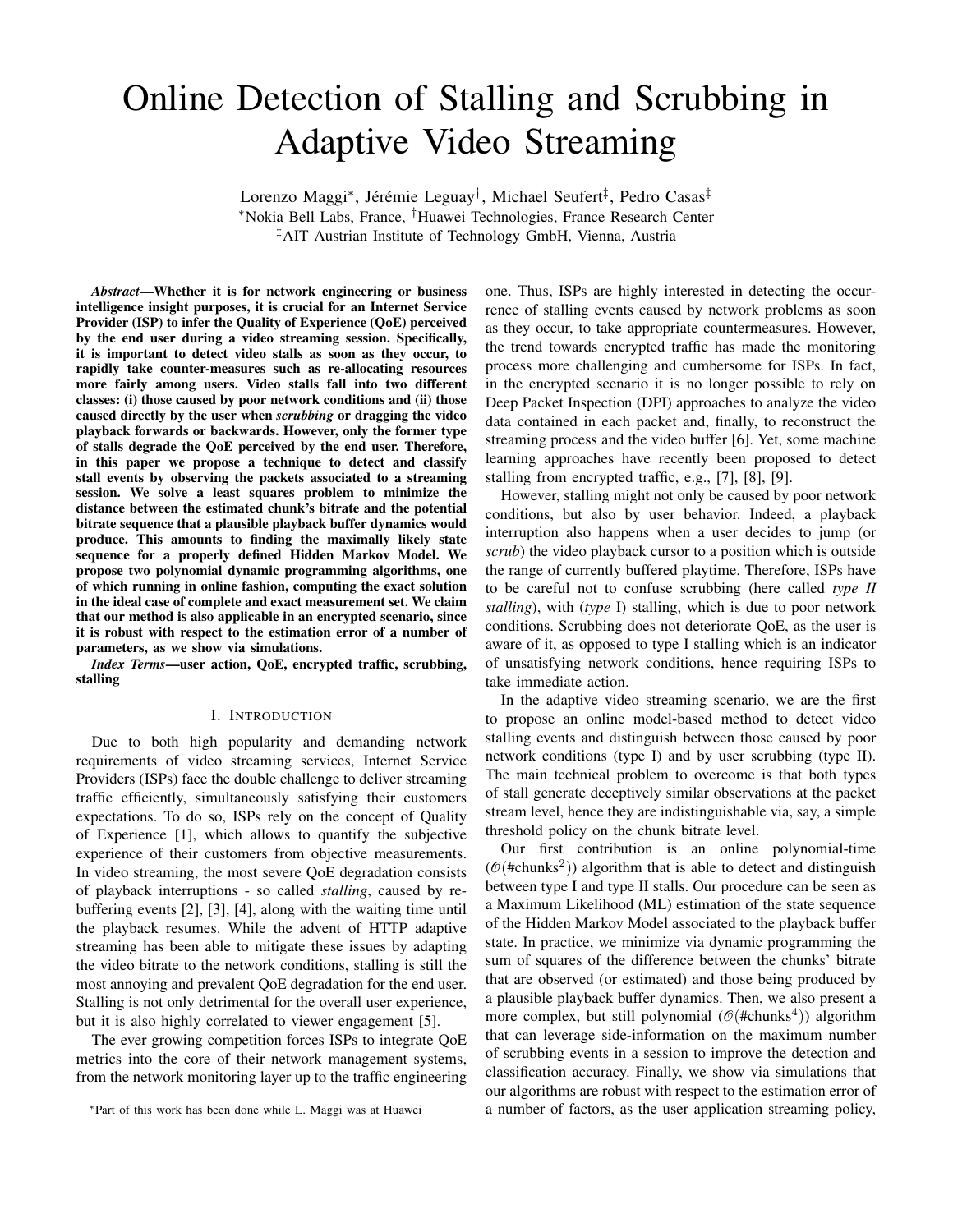# Online Detection of Stalling and Scrubbing in Adaptive Video Streaming

Lorenzo Maggi\*, Jérémie Leguay<sup>†</sup>, Michael Seufert<sup>‡</sup>, Pedro Casas<sup>‡</sup> <sup>∗</sup>Nokia Bell Labs, France, †Huawei Technologies, France Research Center ‡AIT Austrian Institute of Technology GmbH, Vienna, Austria

*Abstract*—Whether it is for network engineering or business intelligence insight purposes, it is crucial for an Internet Service Provider (ISP) to infer the Quality of Experience (QoE) perceived by the end user during a video streaming session. Specifically, it is important to detect video stalls as soon as they occur, to rapidly take counter-measures such as re-allocating resources more fairly among users. Video stalls fall into two different classes: (i) those caused by poor network conditions and (ii) those caused directly by the user when *scrubbing* or dragging the video playback forwards or backwards. However, only the former type of stalls degrade the QoE perceived by the end user. Therefore, in this paper we propose a technique to detect and classify stall events by observing the packets associated to a streaming session. We solve a least squares problem to minimize the distance between the estimated chunk's bitrate and the potential bitrate sequence that a plausible playback buffer dynamics would produce. This amounts to finding the maximally likely state sequence for a properly defined Hidden Markov Model. We propose two polynomial dynamic programming algorithms, one of which running in online fashion, computing the exact solution in the ideal case of complete and exact measurement set. We claim that our method is also applicable in an encrypted scenario, since it is robust with respect to the estimation error of a number of parameters, as we show via simulations.

*Index Terms*—user action, QoE, encrypted traffic, scrubbing, stalling

### I. INTRODUCTION

Due to both high popularity and demanding network requirements of video streaming services, Internet Service Providers (ISPs) face the double challenge to deliver streaming traffic efficiently, simultaneously satisfying their customers expectations. To do so, ISPs rely on the concept of Quality of Experience [1], which allows to quantify the subjective experience of their customers from objective measurements. In video streaming, the most severe QoE degradation consists of playback interruptions - so called *stalling*, caused by rebuffering events [2], [3], [4], along with the waiting time until the playback resumes. While the advent of HTTP adaptive streaming has been able to mitigate these issues by adapting the video bitrate to the network conditions, stalling is still the most annoying and prevalent QoE degradation for the end user. Stalling is not only detrimental for the overall user experience, but it is also highly correlated to viewer engagement [5].

The ever growing competition forces ISPs to integrate QoE metrics into the core of their network management systems, from the network monitoring layer up to the traffic engineering one. Thus, ISPs are highly interested in detecting the occurrence of stalling events caused by network problems as soon as they occur, to take appropriate countermeasures. However, the trend towards encrypted traffic has made the monitoring process more challenging and cumbersome for ISPs. In fact, in the encrypted scenario it is no longer possible to rely on Deep Packet Inspection (DPI) approaches to analyze the video data contained in each packet and, finally, to reconstruct the streaming process and the video buffer [6]. Yet, some machine learning approaches have recently been proposed to detect stalling from encrypted traffic, e.g., [7], [8], [9].

However, stalling might not only be caused by poor network conditions, but also by user behavior. Indeed, a playback interruption also happens when a user decides to jump (or *scrub*) the video playback cursor to a position which is outside the range of currently buffered playtime. Therefore, ISPs have to be careful not to confuse scrubbing (here called *type II stalling*), with (*type* I) stalling, which is due to poor network conditions. Scrubbing does not deteriorate QoE, as the user is aware of it, as opposed to type I stalling which is an indicator of unsatisfying network conditions, hence requiring ISPs to take immediate action.

In the adaptive video streaming scenario, we are the first to propose an online model-based method to detect video stalling events and distinguish between those caused by poor network conditions (type I) and by user scrubbing (type II). The main technical problem to overcome is that both types of stall generate deceptively similar observations at the packet stream level, hence they are indistinguishable via, say, a simple threshold policy on the chunk bitrate level.

Our first contribution is an online polynomial-time  $(\mathcal{O}(\text{\#chunks}^2))$  algorithm that is able to detect and distinguish between type I and type II stalls. Our procedure can be seen as a Maximum Likelihood (ML) estimation of the state sequence of the Hidden Markov Model associated to the playback buffer state. In practice, we minimize via dynamic programming the sum of squares of the difference between the chunks' bitrate that are observed (or estimated) and those being produced by a plausible playback buffer dynamics. Then, we also present a more complex, but still polynomial ( $\mathcal{O}(\text{\# chunks}^4)$ ) algorithm that can leverage side-information on the maximum number of scrubbing events in a session to improve the detection and classification accuracy. Finally, we show via simulations that our algorithms are robust with respect to the estimation error of a number of factors, as the user application streaming policy,

<sup>∗</sup>Part of this work has been done while L. Maggi was at Huawei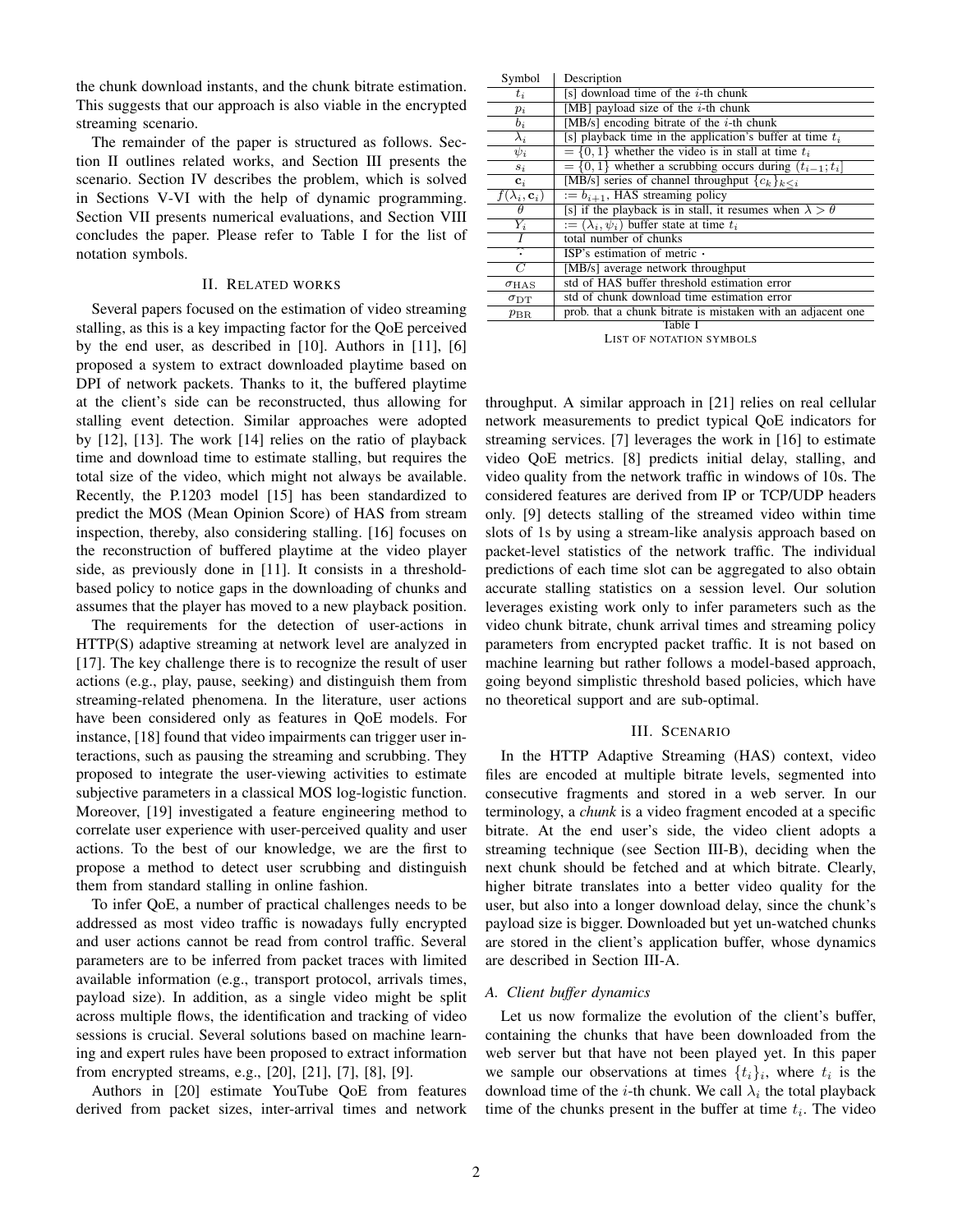the chunk download instants, and the chunk bitrate estimation. This suggests that our approach is also viable in the encrypted streaming scenario.

The remainder of the paper is structured as follows. Section II outlines related works, and Section III presents the scenario. Section IV describes the problem, which is solved in Sections V-VI with the help of dynamic programming. Section VII presents numerical evaluations, and Section VIII concludes the paper. Please refer to Table I for the list of notation symbols.

## II. RELATED WORKS

Several papers focused on the estimation of video streaming stalling, as this is a key impacting factor for the QoE perceived by the end user, as described in [10]. Authors in [11], [6] proposed a system to extract downloaded playtime based on DPI of network packets. Thanks to it, the buffered playtime at the client's side can be reconstructed, thus allowing for stalling event detection. Similar approaches were adopted by [12], [13]. The work [14] relies on the ratio of playback time and download time to estimate stalling, but requires the total size of the video, which might not always be available. Recently, the P.1203 model [15] has been standardized to predict the MOS (Mean Opinion Score) of HAS from stream inspection, thereby, also considering stalling. [16] focuses on the reconstruction of buffered playtime at the video player side, as previously done in [11]. It consists in a thresholdbased policy to notice gaps in the downloading of chunks and assumes that the player has moved to a new playback position.

The requirements for the detection of user-actions in HTTP(S) adaptive streaming at network level are analyzed in [17]. The key challenge there is to recognize the result of user actions (e.g., play, pause, seeking) and distinguish them from streaming-related phenomena. In the literature, user actions have been considered only as features in QoE models. For instance, [18] found that video impairments can trigger user interactions, such as pausing the streaming and scrubbing. They proposed to integrate the user-viewing activities to estimate subjective parameters in a classical MOS log-logistic function. Moreover, [19] investigated a feature engineering method to correlate user experience with user-perceived quality and user actions. To the best of our knowledge, we are the first to propose a method to detect user scrubbing and distinguish them from standard stalling in online fashion.

To infer QoE, a number of practical challenges needs to be addressed as most video traffic is nowadays fully encrypted and user actions cannot be read from control traffic. Several parameters are to be inferred from packet traces with limited available information (e.g., transport protocol, arrivals times, payload size). In addition, as a single video might be split across multiple flows, the identification and tracking of video sessions is crucial. Several solutions based on machine learning and expert rules have been proposed to extract information from encrypted streams, e.g., [20], [21], [7], [8], [9].

Authors in [20] estimate YouTube QoE from features derived from packet sizes, inter-arrival times and network

| Symbol                       | Description                                                         |  |  |  |
|------------------------------|---------------------------------------------------------------------|--|--|--|
| $t_i$                        | [s] download time of the $i$ -th chunk                              |  |  |  |
| $p_i$                        | [MB] payload size of the $i$ -th chunk                              |  |  |  |
| $b_i$                        | [MB/s] encoding bitrate of the $i$ -th chunk                        |  |  |  |
| $\lambda_i$                  | [s] playback time in the application's buffer at time $t_i$         |  |  |  |
| $\psi_i$                     | $= \{0, 1\}$ whether the video is in stall at time $t_i$            |  |  |  |
| $s_i$                        | $= \{0, 1\}$ whether a scrubbing occurs during $(t_{i-1}; t_i)$     |  |  |  |
| $\mathbf{c}_i$               | [MB/s] series of channel throughput ${c_k}_{k \leq i}$              |  |  |  |
| $f(\lambda_i, \mathbf{c}_i)$ | $:= b_{i+1}$ , HAS streaming policy                                 |  |  |  |
| $\theta$                     | [s] if the playback is in stall, it resumes when $\lambda > \theta$ |  |  |  |
| $Y_i$                        | $:= (\lambda_i, \psi_i)$ buffer state at time $t_i$                 |  |  |  |
| I                            | total number of chunks                                              |  |  |  |
|                              | ISP's estimation of metric $\cdot$                                  |  |  |  |
| $\overline{C}$               | [MB/s] average network throughput                                   |  |  |  |
| $\sigma_{\rm HAS}$           | std of HAS buffer threshold estimation error                        |  |  |  |
| $\sigma_{\rm DT}$            | std of chunk download time estimation error                         |  |  |  |
| $p_{\rm BR}$                 | prob. that a chunk bitrate is mistaken with an adjacent one         |  |  |  |
| Table I                      |                                                                     |  |  |  |

LIST OF NOTATION SYMBOLS

throughput. A similar approach in [21] relies on real cellular network measurements to predict typical QoE indicators for streaming services. [7] leverages the work in [16] to estimate video QoE metrics. [8] predicts initial delay, stalling, and video quality from the network traffic in windows of 10s. The considered features are derived from IP or TCP/UDP headers only. [9] detects stalling of the streamed video within time slots of 1s by using a stream-like analysis approach based on packet-level statistics of the network traffic. The individual predictions of each time slot can be aggregated to also obtain accurate stalling statistics on a session level. Our solution leverages existing work only to infer parameters such as the video chunk bitrate, chunk arrival times and streaming policy parameters from encrypted packet traffic. It is not based on machine learning but rather follows a model-based approach, going beyond simplistic threshold based policies, which have no theoretical support and are sub-optimal.

### III. SCENARIO

In the HTTP Adaptive Streaming (HAS) context, video files are encoded at multiple bitrate levels, segmented into consecutive fragments and stored in a web server. In our terminology, a *chunk* is a video fragment encoded at a specific bitrate. At the end user's side, the video client adopts a streaming technique (see Section III-B), deciding when the next chunk should be fetched and at which bitrate. Clearly, higher bitrate translates into a better video quality for the user, but also into a longer download delay, since the chunk's payload size is bigger. Downloaded but yet un-watched chunks are stored in the client's application buffer, whose dynamics are described in Section III-A.

# *A. Client buffer dynamics*

Let us now formalize the evolution of the client's buffer, containing the chunks that have been downloaded from the web server but that have not been played yet. In this paper we sample our observations at times  $\{t_i\}_i$ , where  $t_i$  is the download time of the *i*-th chunk. We call  $\lambda_i$  the total playback time of the chunks present in the buffer at time  $t_i$ . The video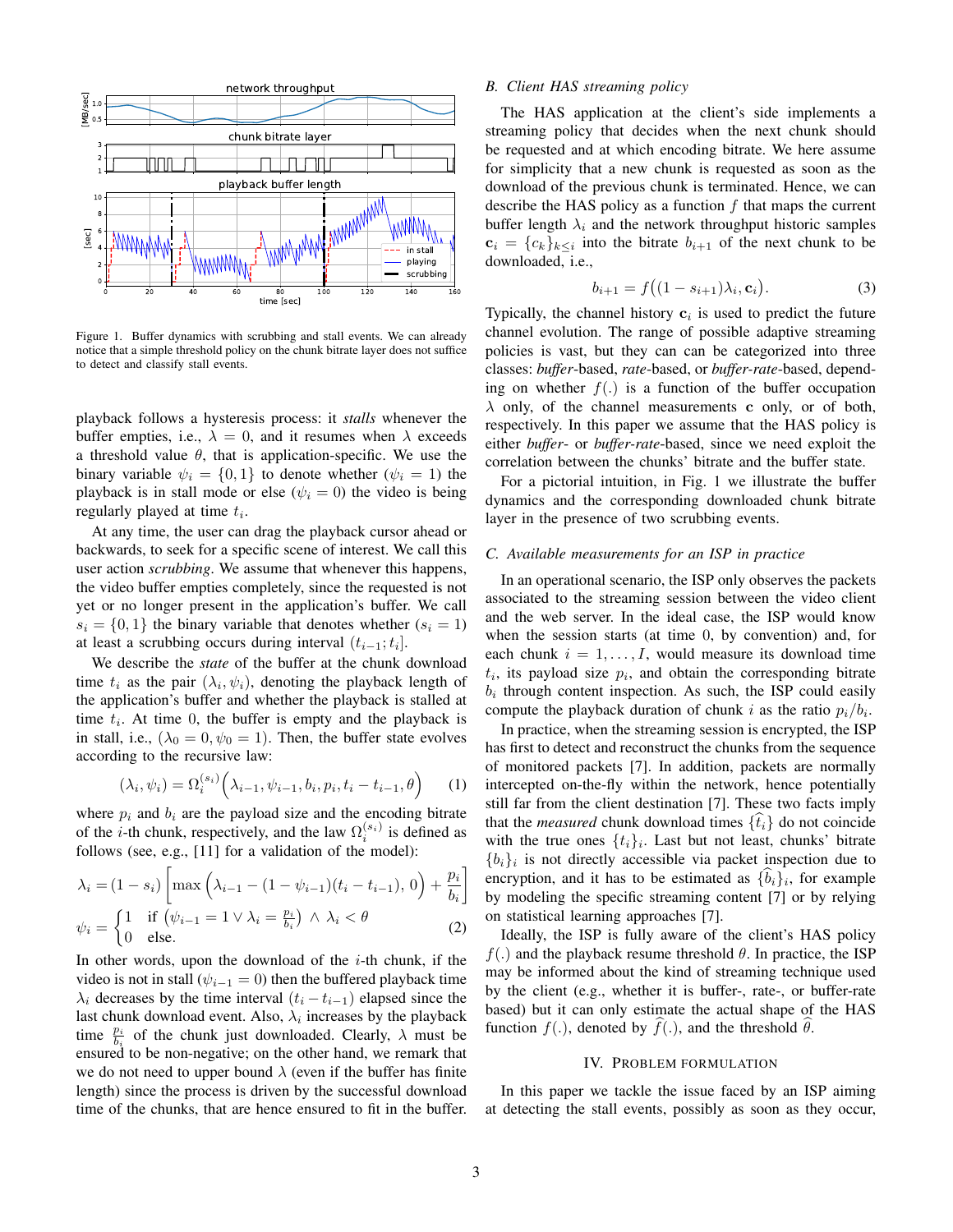

Figure 1. Buffer dynamics with scrubbing and stall events. We can already notice that a simple threshold policy on the chunk bitrate layer does not suffice to detect and classify stall events.

playback follows a hysteresis process: it *stalls* whenever the buffer empties, i.e.,  $\lambda = 0$ , and it resumes when  $\lambda$  exceeds a threshold value  $\theta$ , that is application-specific. We use the binary variable  $\psi_i = \{0, 1\}$  to denote whether  $(\psi_i = 1)$  the playback is in stall mode or else ( $\psi_i = 0$ ) the video is being regularly played at time  $t_i$ .

At any time, the user can drag the playback cursor ahead or backwards, to seek for a specific scene of interest. We call this user action *scrubbing*. We assume that whenever this happens, the video buffer empties completely, since the requested is not yet or no longer present in the application's buffer. We call  $s_i = \{0, 1\}$  the binary variable that denotes whether  $(s_i = 1)$ at least a scrubbing occurs during interval  $(t_{i-1}; t_i]$ .

We describe the *state* of the buffer at the chunk download time  $t_i$  as the pair  $(\lambda_i, \psi_i)$ , denoting the playback length of the application's buffer and whether the playback is stalled at time  $t_i$ . At time 0, the buffer is empty and the playback is in stall, i.e.,  $(\lambda_0 = 0, \psi_0 = 1)$ . Then, the buffer state evolves according to the recursive law:

$$
(\lambda_i, \psi_i) = \Omega_i^{(s_i)} (\lambda_{i-1}, \psi_{i-1}, b_i, p_i, t_i - t_{i-1}, \theta)
$$
 (1)

where  $p_i$  and  $b_i$  are the payload size and the encoding bitrate of the *i*-th chunk, respectively, and the law  $\Omega_i^{(s_i)}$  is defined as follows (see, e.g., [11] for a validation of the model):

$$
\lambda_i = (1 - s_i) \left[ \max \left( \lambda_{i-1} - (1 - \psi_{i-1})(t_i - t_{i-1}), 0 \right) + \frac{p_i}{b_i} \right]
$$
  

$$
\psi_i = \begin{cases} 1 & \text{if } (\psi_{i-1} = 1 \vee \lambda_i = \frac{p_i}{b_i}) \wedge \lambda_i < \theta \\ 0 & \text{else.} \end{cases}
$$
 (2)

In other words, upon the download of the  $i$ -th chunk, if the video is not in stall ( $\psi_{i-1} = 0$ ) then the buffered playback time  $\lambda_i$  decreases by the time interval  $(t_i - t_{i-1})$  elapsed since the last chunk download event. Also,  $\lambda_i$  increases by the playback time  $\frac{p_i}{b_i}$  of the chunk just downloaded. Clearly,  $\lambda$  must be ensured to be non-negative; on the other hand, we remark that we do not need to upper bound  $\lambda$  (even if the buffer has finite length) since the process is driven by the successful download time of the chunks, that are hence ensured to fit in the buffer.

## *B. Client HAS streaming policy*

The HAS application at the client's side implements a streaming policy that decides when the next chunk should be requested and at which encoding bitrate. We here assume for simplicity that a new chunk is requested as soon as the download of the previous chunk is terminated. Hence, we can describe the HAS policy as a function  $f$  that maps the current buffer length  $\lambda_i$  and the network throughput historic samples  $c_i = \{c_k\}_{k \leq i}$  into the bitrate  $b_{i+1}$  of the next chunk to be downloaded, i.e.,

$$
b_{i+1} = f((1 - s_{i+1})\lambda_i, \mathbf{c}_i).
$$
 (3)

Typically, the channel history  $c_i$  is used to predict the future channel evolution. The range of possible adaptive streaming policies is vast, but they can can be categorized into three classes: *buffer*-based, *rate*-based, or *buffer-rate*-based, depending on whether  $f(.)$  is a function of the buffer occupation  $\lambda$  only, of the channel measurements c only, or of both, respectively. In this paper we assume that the HAS policy is either *buffer*- or *buffer-rate*-based, since we need exploit the correlation between the chunks' bitrate and the buffer state.

For a pictorial intuition, in Fig. 1 we illustrate the buffer dynamics and the corresponding downloaded chunk bitrate layer in the presence of two scrubbing events.

#### *C. Available measurements for an ISP in practice*

In an operational scenario, the ISP only observes the packets associated to the streaming session between the video client and the web server. In the ideal case, the ISP would know when the session starts (at time 0, by convention) and, for each chunk  $i = 1, \ldots, I$ , would measure its download time  $t_i$ , its payload size  $p_i$ , and obtain the corresponding bitrate  $b_i$  through content inspection. As such, the ISP could easily compute the playback duration of chunk i as the ratio  $p_i/b_i$ .

In practice, when the streaming session is encrypted, the ISP has first to detect and reconstruct the chunks from the sequence of monitored packets [7]. In addition, packets are normally intercepted on-the-fly within the network, hence potentially still far from the client destination [7]. These two facts imply that the *measured* chunk download times  $\{\hat{t}_i\}$  do not coincide with the true ones  $\{t_i\}_i$ . Last but not least, chunks' bitrate  ${b_i}_i$  is not directly accessible via packet inspection due to encryption, and it has to be estimated as  $\{b_i\}_i$ , for example by modeling the specific streaming content [7] or by relying on statistical learning approaches [7].

Ideally, the ISP is fully aware of the client's HAS policy  $f(.)$  and the playback resume threshold  $\theta$ . In practice, the ISP may be informed about the kind of streaming technique used by the client (e.g., whether it is buffer-, rate-, or buffer-rate based) but it can only estimate the actual shape of the HAS function  $f(.)$ , denoted by  $f(.)$ , and the threshold  $\theta$ .

### IV. PROBLEM FORMULATION

In this paper we tackle the issue faced by an ISP aiming at detecting the stall events, possibly as soon as they occur,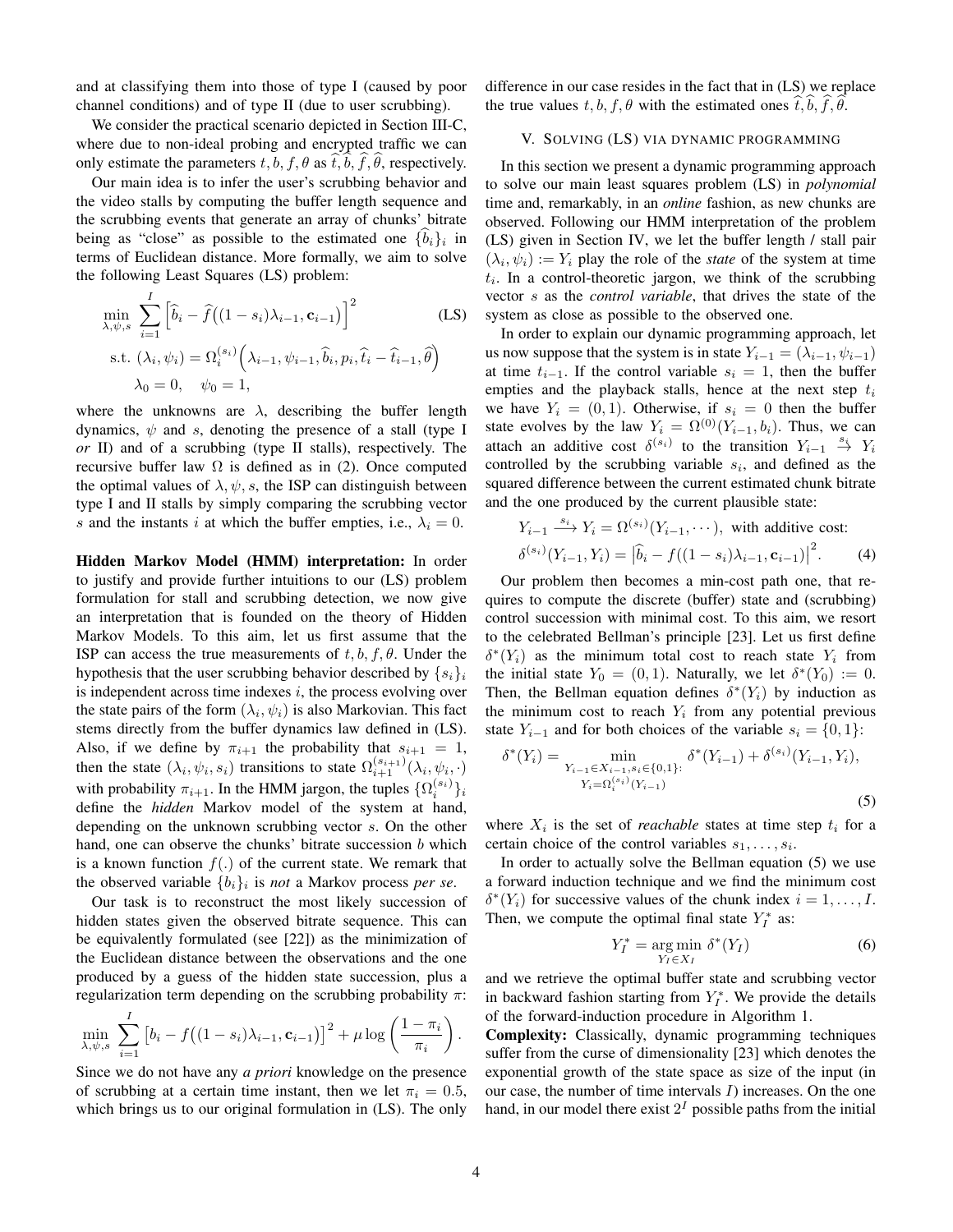and at classifying them into those of type I (caused by poor channel conditions) and of type II (due to user scrubbing).

We consider the practical scenario depicted in Section III-C, where due to non-ideal probing and encrypted traffic we can only estimate the parameters  $t, b, f, \theta$  as  $\dot{t}, b, f, \theta$ , respectively.

Our main idea is to infer the user's scrubbing behavior and the video stalls by computing the buffer length sequence and the scrubbing events that generate an array of chunks' bitrate being as "close" as possible to the estimated one  $\{b_i\}_i$  in terms of Euclidean distance. More formally, we aim to solve the following Least Squares (LS) problem:

$$
\min_{\lambda,\psi,s} \sum_{i=1}^{I} \left[ \widehat{b}_{i} - \widehat{f}((1-s_{i})\lambda_{i-1}, \mathbf{c}_{i-1}) \right]^{2}
$$
\n
$$
\text{s.t. } (\lambda_{i}, \psi_{i}) = \Omega_{i}^{(s_{i})} \left( \lambda_{i-1}, \psi_{i-1}, \widehat{b}_{i}, p_{i}, \widehat{t}_{i} - \widehat{t}_{i-1}, \widehat{\theta} \right)
$$
\n
$$
\lambda_{0} = 0, \quad \psi_{0} = 1,
$$
\n
$$
(LS)
$$

where the unknowns are  $\lambda$ , describing the buffer length dynamics,  $\psi$  and s, denoting the presence of a stall (type I *or* II) and of a scrubbing (type II stalls), respectively. The recursive buffer law  $\Omega$  is defined as in (2). Once computed the optimal values of  $\lambda$ ,  $\psi$ , s, the ISP can distinguish between type I and II stalls by simply comparing the scrubbing vector s and the instants i at which the buffer empties, i.e.,  $\lambda_i = 0$ .

Hidden Markov Model (HMM) interpretation: In order to justify and provide further intuitions to our (LS) problem formulation for stall and scrubbing detection, we now give an interpretation that is founded on the theory of Hidden Markov Models. To this aim, let us first assume that the ISP can access the true measurements of  $t, b, f, \theta$ . Under the hypothesis that the user scrubbing behavior described by  $\{s_i\}_i$ is independent across time indexes  $i$ , the process evolving over the state pairs of the form  $(\lambda_i, \psi_i)$  is also Markovian. This fact stems directly from the buffer dynamics law defined in (LS). Also, if we define by  $\pi_{i+1}$  the probability that  $s_{i+1} = 1$ , then the state  $(\lambda_i, \psi_i, s_i)$  transitions to state  $\Omega_{i+1}^{(s_{i+1})}(\lambda_i, \psi_i, \cdot)$ with probability  $\pi_{i+1}$ . In the HMM jargon, the tuples  $\{\Omega_i^{(s_i)}\}_i$ define the *hidden* Markov model of the system at hand, depending on the unknown scrubbing vector s. On the other hand, one can observe the chunks' bitrate succession  $b$  which is a known function  $f(.)$  of the current state. We remark that the observed variable  $\{b_i\}_i$  is *not* a Markov process *per se*.

Our task is to reconstruct the most likely succession of hidden states given the observed bitrate sequence. This can be equivalently formulated (see [22]) as the minimization of the Euclidean distance between the observations and the one produced by a guess of the hidden state succession, plus a regularization term depending on the scrubbing probability  $\pi$ :

$$
\min_{\lambda,\psi,s}\ \sum_{i=1}^I\left[b_i-f\big((1-s_i)\lambda_{i-1},\mathbf{c}_{i-1}\big)\right]^2+\mu\log\left(\frac{1-\pi_i}{\pi_i}\right).
$$

Since we do not have any *a priori* knowledge on the presence of scrubbing at a certain time instant, then we let  $\pi_i = 0.5$ , which brings us to our original formulation in (LS). The only

difference in our case resides in the fact that in (LS) we replace the true values t, b, f,  $\theta$  with the estimated ones t, b, f,  $\theta$ .

## V. SOLVING (LS) VIA DYNAMIC PROGRAMMING

In this section we present a dynamic programming approach to solve our main least squares problem (LS) in *polynomial* time and, remarkably, in an *online* fashion, as new chunks are observed. Following our HMM interpretation of the problem (LS) given in Section IV, we let the buffer length / stall pair  $(\lambda_i, \psi_i) := Y_i$  play the role of the *state* of the system at time  $t_i$ . In a control-theoretic jargon, we think of the scrubbing vector s as the *control variable*, that drives the state of the system as close as possible to the observed one.

In order to explain our dynamic programming approach, let us now suppose that the system is in state  $Y_{i-1} = (\lambda_{i-1}, \psi_{i-1})$ at time  $t_{i-1}$ . If the control variable  $s_i = 1$ , then the buffer empties and the playback stalls, hence at the next step  $t_i$ we have  $Y_i = (0, 1)$ . Otherwise, if  $s_i = 0$  then the buffer state evolves by the law  $Y_i = \Omega^{(0)}(Y_{i-1}, b_i)$ . Thus, we can attach an additive cost  $\delta^{(s_i)}$  to the transition  $Y_{i-1} \stackrel{s_i}{\rightarrow} Y_i$ controlled by the scrubbing variable  $s_i$ , and defined as the squared difference between the current estimated chunk bitrate and the one produced by the current plausible state:

$$
Y_{i-1} \xrightarrow{s_i} Y_i = \Omega^{(s_i)}(Y_{i-1}, \dots), \text{ with additive cost:}
$$

$$
\delta^{(s_i)}(Y_{i-1}, Y_i) = |\hat{b}_i - f((1 - s_i)\lambda_{i-1}, \mathbf{c}_{i-1})|^2.
$$
 (4)

Our problem then becomes a min-cost path one, that requires to compute the discrete (buffer) state and (scrubbing) control succession with minimal cost. To this aim, we resort to the celebrated Bellman's principle [23]. Let us first define  $\delta^*(Y_i)$  as the minimum total cost to reach state  $Y_i$  from the initial state  $Y_0 = (0, 1)$ . Naturally, we let  $\delta^*(Y_0) := 0$ . Then, the Bellman equation defines  $\delta^*(Y_i)$  by induction as the minimum cost to reach  $Y_i$  from any potential previous state  $Y_{i-1}$  and for both choices of the variable  $s_i = \{0, 1\}$ :

$$
\delta^*(Y_i) = \min_{\substack{Y_{i-1} \in X_{i-1}, s_i \in \{0, 1\}: \\ Y_i = \Omega_i^{(s_i)}(Y_{i-1})}} \delta^*(Y_{i-1}) + \delta^{(s_i)}(Y_{i-1}, Y_i),
$$
\n
$$
(5)
$$

where  $X_i$  is the set of *reachable* states at time step  $t_i$  for a certain choice of the control variables  $s_1, \ldots, s_i$ .

In order to actually solve the Bellman equation (5) we use a forward induction technique and we find the minimum cost  $\delta^*(Y_i)$  for successive values of the chunk index  $i = 1, \ldots, I$ . Then, we compute the optimal final state  $Y_I^*$  as:

$$
Y_I^* = \underset{Y_I \in X_I}{\text{arg min}} \ \delta^*(Y_I) \tag{6}
$$

and we retrieve the optimal buffer state and scrubbing vector in backward fashion starting from  $Y_I^*$ . We provide the details of the forward-induction procedure in Algorithm 1.

Complexity: Classically, dynamic programming techniques suffer from the curse of dimensionality [23] which denotes the exponential growth of the state space as size of the input (in our case, the number of time intervals  $I$ ) increases. On the one hand, in our model there exist  $2<sup>I</sup>$  possible paths from the initial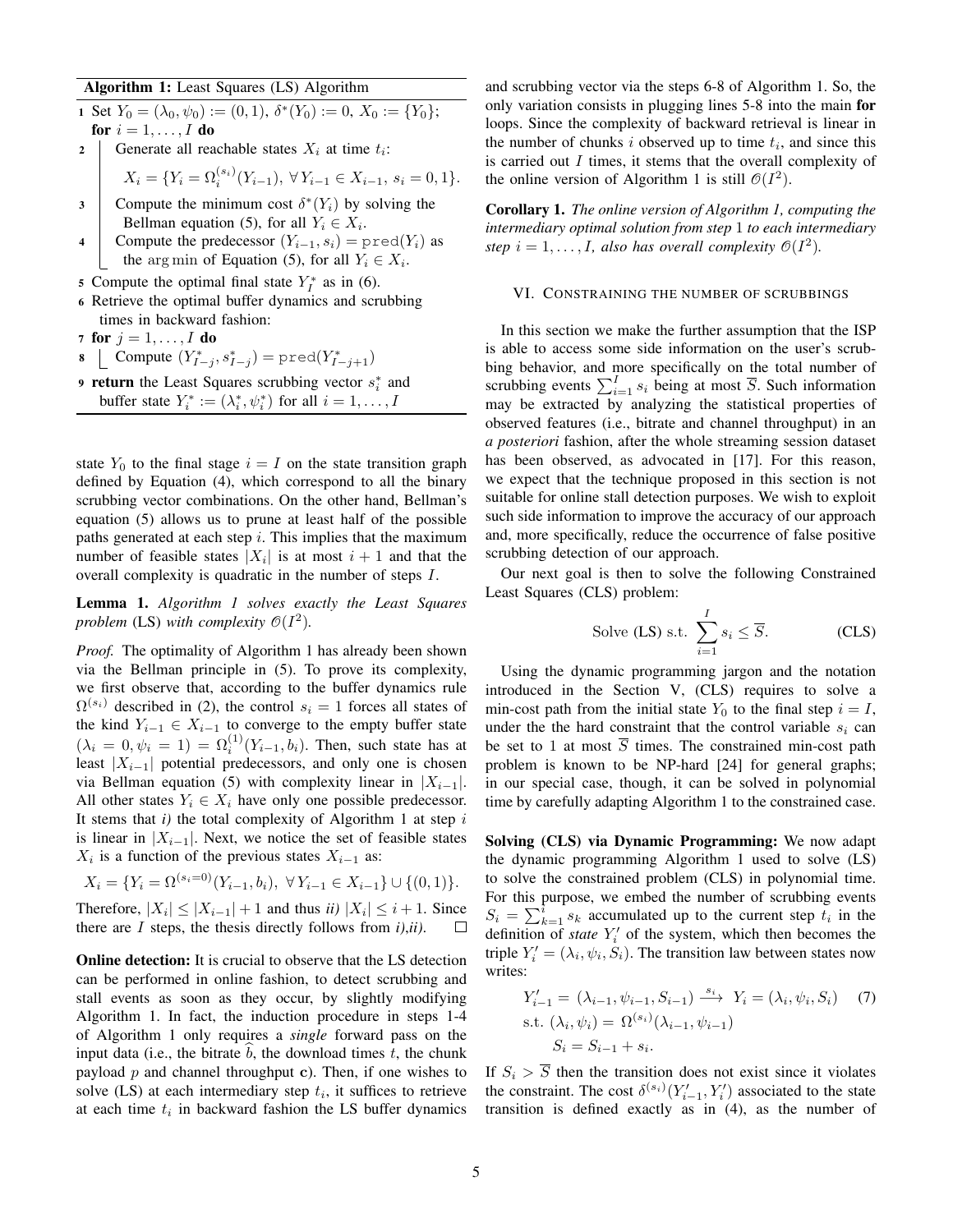## Algorithm 1: Least Squares (LS) Algorithm

1 Set 
$$
Y_0 = (\lambda_0, \psi_0) := (0, 1), \delta^*(Y_0) := 0, X_0 := \{Y_0\};
$$
  
for  $i = 1, ..., I$  do

2 | Generate all reachable states 
$$
X_i
$$
 at time  $t_i$ :

$$
X_i = \{ Y_i = \Omega_i^{(s_i)}(Y_{i-1}), \ \forall \, Y_{i-1} \in X_{i-1}, \ s_i = 0, 1 \}.
$$

- 3 Compute the minimum cost  $\delta^*(Y_i)$  by solving the Bellman equation (5), for all  $Y_i \in X_i$ .
- Compute the predecessor  $(Y_{i-1}, s_i) = \text{pred}(Y_i)$  as the arg min of Equation (5), for all  $Y_i \in X_i$ .
- 5 Compute the optimal final state  $Y_I^*$  as in (6).
- 6 Retrieve the optimal buffer dynamics and scrubbing times in backward fashion:
- 7 for  $j = 1, \ldots, I$  do
- 8 | Compute  $(Y_{I-j}^*, s_{I-j}^*) = \text{pred}(Y_{I-j+1}^*)$
- **9 return** the Least Squares scrubbing vector  $s_i^*$  and buffer state  $Y_i^* := (\lambda_i^*, \psi_i^*)$  for all  $i = 1, ..., I$

state  $Y_0$  to the final stage  $i = I$  on the state transition graph defined by Equation (4), which correspond to all the binary scrubbing vector combinations. On the other hand, Bellman's equation (5) allows us to prune at least half of the possible paths generated at each step  $i$ . This implies that the maximum number of feasible states  $|X_i|$  is at most  $i+1$  and that the overall complexity is quadratic in the number of steps I.

Lemma 1. *Algorithm 1 solves exactly the Least Squares* problem (LS) with complexity  $\mathcal{O}(I^2)$ .

*Proof.* The optimality of Algorithm 1 has already been shown via the Bellman principle in (5). To prove its complexity, we first observe that, according to the buffer dynamics rule  $\Omega^{(s_i)}$  described in (2), the control  $s_i = 1$  forces all states of the kind  $Y_{i-1} \in X_{i-1}$  to converge to the empty buffer state  $(\lambda_i = 0, \psi_i = 1) = \Omega_i^{(1)}(Y_{i-1}, b_i)$ . Then, such state has at least  $|X_{i-1}|$  potential predecessors, and only one is chosen via Bellman equation (5) with complexity linear in  $|X_{i-1}|$ . All other states  $Y_i \in X_i$  have only one possible predecessor. It stems that  $i$ ) the total complexity of Algorithm 1 at step  $i$ is linear in  $|X_{i-1}|$ . Next, we notice the set of feasible states  $X_i$  is a function of the previous states  $X_{i-1}$  as:

$$
X_i = \{ Y_i = \Omega^{(s_i=0)}(Y_{i-1}, b_i), \ \forall Y_{i-1} \in X_{i-1} \} \cup \{ (0, 1) \}.
$$

Therefore,  $|X_i| \le |X_{i-1}| + 1$  and thus *ii*)  $|X_i| \le i+1$ . Since there are I steps, the thesis directly follows from *i)*,*ii)*.  $\Box$ 

Online detection: It is crucial to observe that the LS detection can be performed in online fashion, to detect scrubbing and stall events as soon as they occur, by slightly modifying Algorithm 1. In fact, the induction procedure in steps 1-4 of Algorithm 1 only requires a *single* forward pass on the input data (i.e., the bitrate  $\overline{b}$ , the download times  $t$ , the chunk payload p and channel throughput c). Then, if one wishes to solve  $(LS)$  at each intermediary step  $t_i$ , it suffices to retrieve at each time  $t_i$  in backward fashion the LS buffer dynamics and scrubbing vector via the steps 6-8 of Algorithm 1. So, the only variation consists in plugging lines 5-8 into the main for loops. Since the complexity of backward retrieval is linear in the number of chunks  $i$  observed up to time  $t_i$ , and since this is carried out  $I$  times, it stems that the overall complexity of the online version of Algorithm 1 is still  $\mathcal{O}(I^2)$ .

Corollary 1. *The online version of Algorithm 1, computing the intermediary optimal solution from step* 1 *to each intermediary* step  $i = 1, \ldots, I$ , also has overall complexity  $\mathcal{O}(I^2)$ .

#### VI. CONSTRAINING THE NUMBER OF SCRUBBINGS

In this section we make the further assumption that the ISP is able to access some side information on the user's scrubbing behavior, and more specifically on the total number of scrubbing events  $\sum_{i=1}^{I} s_i$  being at most  $\overline{S}$ . Such information may be extracted by analyzing the statistical properties of observed features (i.e., bitrate and channel throughput) in an *a posteriori* fashion, after the whole streaming session dataset has been observed, as advocated in [17]. For this reason, we expect that the technique proposed in this section is not suitable for online stall detection purposes. We wish to exploit such side information to improve the accuracy of our approach and, more specifically, reduce the occurrence of false positive scrubbing detection of our approach.

Our next goal is then to solve the following Constrained Least Squares (CLS) problem:

Solve (LS) s.t. 
$$
\sum_{i=1}^{I} s_i \le \overline{S}.
$$
 (CLS)

Using the dynamic programming jargon and the notation introduced in the Section V, (CLS) requires to solve a min-cost path from the initial state  $Y_0$  to the final step  $i = I$ , under the the hard constraint that the control variable  $s_i$  can be set to 1 at most  $\overline{S}$  times. The constrained min-cost path problem is known to be NP-hard [24] for general graphs; in our special case, though, it can be solved in polynomial time by carefully adapting Algorithm 1 to the constrained case.

Solving (CLS) via Dynamic Programming: We now adapt the dynamic programming Algorithm 1 used to solve (LS) to solve the constrained problem (CLS) in polynomial time. For this purpose, we embed the number of scrubbing events  $S_i = \sum_{k=1}^{i} s_k$  accumulated up to the current step  $t_i$  in the definition of *state*  $Y_i'$  of the system, which then becomes the triple  $Y_i' = (\lambda_i, \psi_i, S_i)$ . The transition law between states now writes:

$$
Y'_{i-1} = (\lambda_{i-1}, \psi_{i-1}, S_{i-1}) \xrightarrow{s_i} Y_i = (\lambda_i, \psi_i, S_i)
$$
 (7)  
s.t.  $(\lambda_i, \psi_i) = \Omega^{(s_i)}(\lambda_{i-1}, \psi_{i-1})$   
 $S_i = S_{i-1} + s_i$ .

If  $S_i > \overline{S}$  then the transition does not exist since it violates the constraint. The cost  $\delta^{(s_i)}(Y'_{i-1}, Y'_i)$  associated to the state transition is defined exactly as in (4), as the number of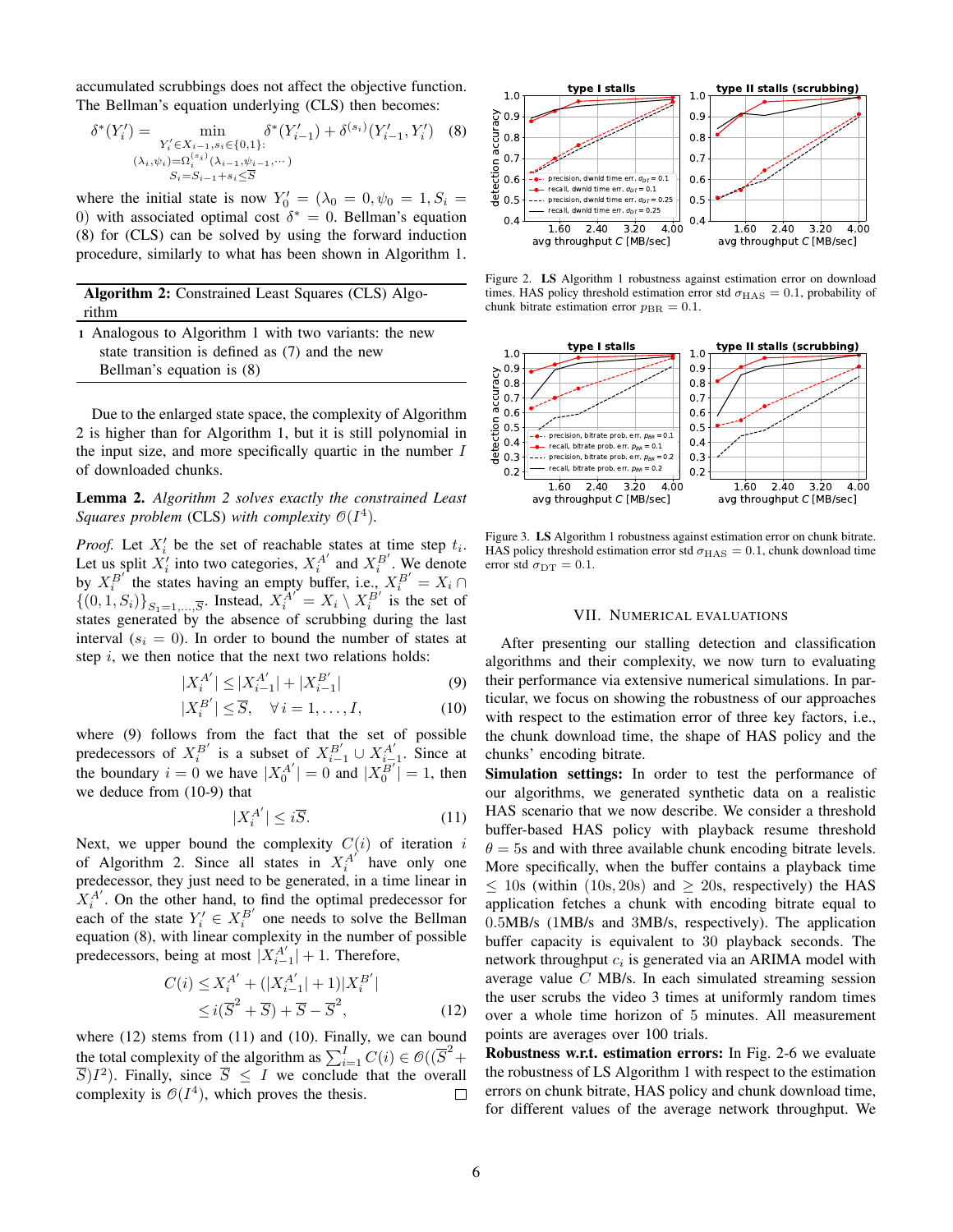accumulated scrubbings does not affect the objective function. The Bellman's equation underlying (CLS) then becomes:

$$
\delta^*(Y_i') = \min_{\substack{Y_i' \in X_{i-1}, s_i \in \{0, 1\}: \\ (\lambda_i, \psi_i) = \Omega_i^{(s_i)}(\lambda_{i-1}, \psi_{i-1}, \cdots)}} \delta^*(Y_{i-1}') + \delta^{(s_i)}(Y_{i-1}', Y_i') \quad (8)
$$
  

$$
\sum_{S_i = S_{i-1} + s_i \le \overline{S}}
$$

where the initial state is now  $Y'_0 = (\lambda_0 = 0, \psi_0 = 1, S_i =$ 0) with associated optimal cost  $\delta^* = 0$ . Bellman's equation (8) for (CLS) can be solved by using the forward induction procedure, similarly to what has been shown in Algorithm 1.

| Algorithm 2: Constrained Least Squares (CLS) Algo- |  |  |
|----------------------------------------------------|--|--|
| rithm                                              |  |  |
|                                                    |  |  |

1 Analogous to Algorithm 1 with two variants: the new state transition is defined as (7) and the new Bellman's equation is (8)

Due to the enlarged state space, the complexity of Algorithm 2 is higher than for Algorithm 1, but it is still polynomial in the input size, and more specifically quartic in the number  $I$ of downloaded chunks.

Lemma 2. *Algorithm 2 solves exactly the constrained Least Squares problem* (CLS) with complexity  $\mathcal{O}(I^4)$ .

*Proof.* Let  $X_i'$  be the set of reachable states at time step  $t_i$ . Let us split  $X_i'$  into two categories,  $X_i^{A'}$  and  $X_i^{B'}$ . We denote by  $X_i^{B'}$  the states having an empty buffer, i.e.,  $X_i^{B'} = X_i \cap$  $\{(0,1, S_i)\}_{S_1=1,\dots,\overline{S}}$ . Instead,  $X_i^{A'} = X_i \setminus X_i^{B'}$  is the set of states generated by the absence of scrubbing during the last interval  $(s<sub>i</sub> = 0)$ . In order to bound the number of states at step  $i$ , we then notice that the next two relations holds:

$$
|X_i^{A'}| \le |X_{i-1}^{A'}| + |X_{i-1}^{B'}| \tag{9}
$$

$$
|X_i^{B'}| \le \overline{S}, \quad \forall \, i = 1, \dots, I,\tag{10}
$$

where (9) follows from the fact that the set of possible predecessors of  $X_i^{B'}$  is a subset of  $X_{i-1}^{B'} \cup X_{i-1}^{A'}$ . Since at the boundary  $i = 0$  we have  $|X_0^{A'}| = 0$  and  $|X_0^{B'}| = 1$ , then we deduce from (10-9) that

$$
|X_i^{A'}| \le i\overline{S}.\tag{11}
$$

Next, we upper bound the complexity  $C(i)$  of iteration  $i$ of Algorithm 2. Since all states in  $X_i^{A'}$  have only one predecessor, they just need to be generated, in a time linear in  $X_i^{A'}$ . On the other hand, to find the optimal predecessor for each of the state  $Y_i' \in X_i^{B'}$  one needs to solve the Bellman equation (8), with linear complexity in the number of possible predecessors, being at most  $|X_{i-1}^{A'}| + 1$ . Therefore,

$$
C(i) \le X_i^{A'} + (|X_{i-1}^{A'}| + 1)|X_i^{B'}|
$$
  
\n
$$
\le i(\overline{S}^2 + \overline{S}) + \overline{S} - \overline{S}^2,
$$
\n(12)

where (12) stems from (11) and (10). Finally, we can bound the total complexity of the algorithm as  $\sum_{i=1}^{I} C(i) \in \mathcal{O}((\overline{S}^2 +$  $(\overline{S})I^2$ ). Finally, since  $\overline{S} \leq I$  we conclude that the overall complexity is  $\mathcal{O}(I^4)$ , which proves the thesis. П



Figure 2. LS Algorithm 1 robustness against estimation error on download times. HAS policy threshold estimation error std  $\sigma_{\rm HAS}=0.1$ , probability of chunk bitrate estimation error  $p_{BR} = 0.1$ .



Figure 3. LS Algorithm 1 robustness against estimation error on chunk bitrate. HAS policy threshold estimation error std  $\sigma_{\rm HAS}=0.1$ , chunk download time error std  $\sigma_{\rm DT} = 0.1$ .

#### VII. NUMERICAL EVALUATIONS

After presenting our stalling detection and classification algorithms and their complexity, we now turn to evaluating their performance via extensive numerical simulations. In particular, we focus on showing the robustness of our approaches with respect to the estimation error of three key factors, i.e., the chunk download time, the shape of HAS policy and the chunks' encoding bitrate.

Simulation settings: In order to test the performance of our algorithms, we generated synthetic data on a realistic HAS scenario that we now describe. We consider a threshold buffer-based HAS policy with playback resume threshold  $\theta = 5s$  and with three available chunk encoding bitrate levels. More specifically, when the buffer contains a playback time  $\leq$  10s (within (10s, 20s) and  $\geq$  20s, respectively) the HAS application fetches a chunk with encoding bitrate equal to 0.5MB/s (1MB/s and 3MB/s, respectively). The application buffer capacity is equivalent to 30 playback seconds. The network throughput  $c_i$  is generated via an ARIMA model with average value C MB/s. In each simulated streaming session the user scrubs the video 3 times at uniformly random times over a whole time horizon of 5 minutes. All measurement points are averages over 100 trials.

Robustness w.r.t. estimation errors: In Fig. 2-6 we evaluate the robustness of LS Algorithm 1 with respect to the estimation errors on chunk bitrate, HAS policy and chunk download time, for different values of the average network throughput. We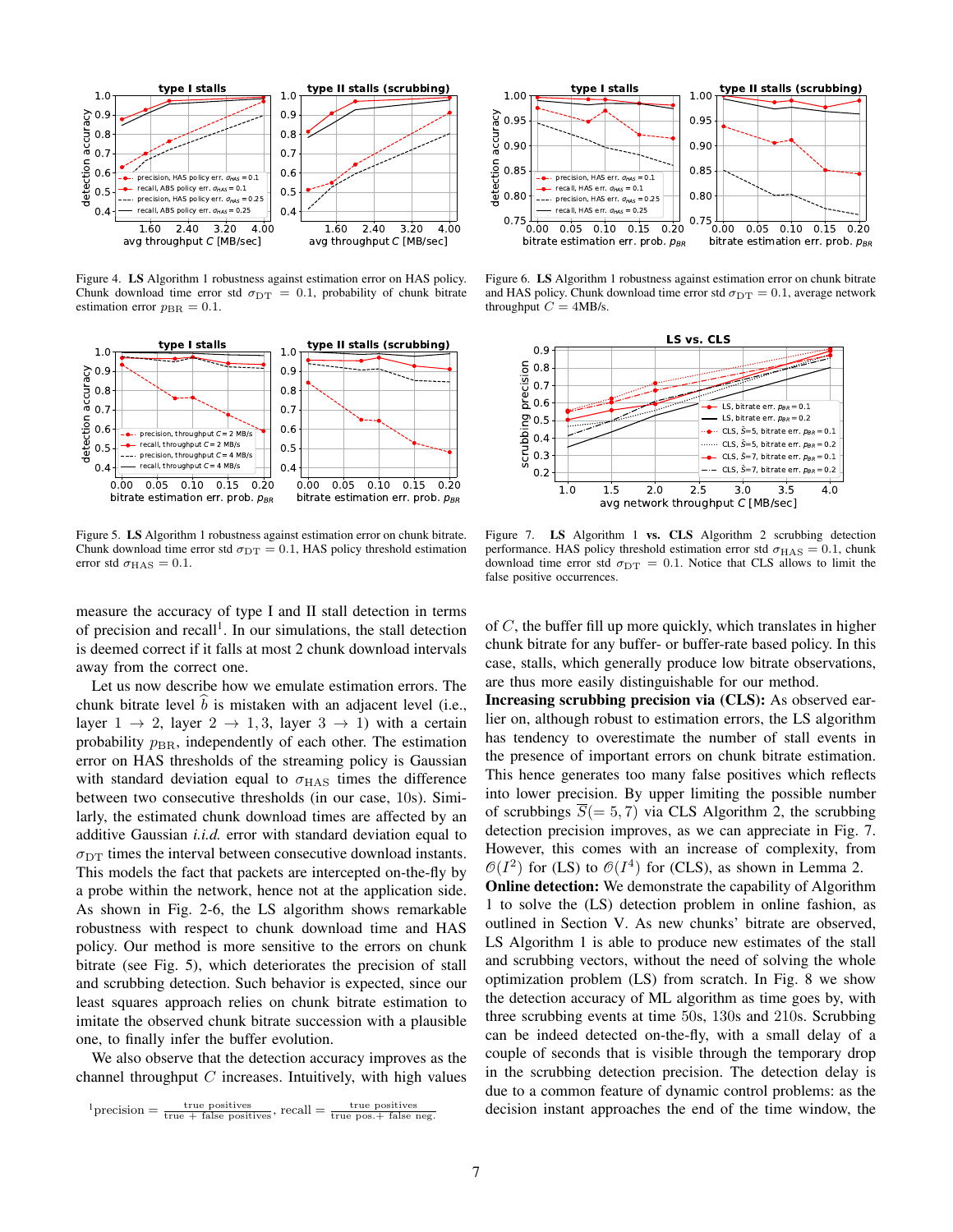

Figure 4. LS Algorithm 1 robustness against estimation error on HAS policy. Chunk download time error std  $\sigma_{DT} = 0.1$ , probability of chunk bitrate estimation error  $p_{\text{BR}} = 0.1$ .



Figure 5. LS Algorithm 1 robustness against estimation error on chunk bitrate. Chunk download time error std  $\sigma_{DT} = 0.1$ , HAS policy threshold estimation error std $\sigma_{\rm HAS}=0.1.$ 



Figure 6. LS Algorithm 1 robustness against estimation error on chunk bitrate and HAS policy. Chunk download time error std  $\sigma_{\text{DT}} = 0.1$ , average network throughput  $C = 4MB/s$ .



Figure 7. LS Algorithm 1 vs. CLS Algorithm 2 scrubbing detection performance. HAS policy threshold estimation error std  $\sigma_{\rm HAS}=0.1$ , chunk download time error std  $\sigma_{DT} = 0.1$ . Notice that CLS allows to limit the false positive occurrences.

measure the accuracy of type I and II stall detection in terms of precision and recall<sup>1</sup>. In our simulations, the stall detection is deemed correct if it falls at most 2 chunk download intervals away from the correct one.

Let us now describe how we emulate estimation errors. The chunk bitrate level  $b$  is mistaken with an adjacent level (i.e., layer  $1 \rightarrow 2$ , layer  $2 \rightarrow 1, 3$ , layer  $3 \rightarrow 1$ ) with a certain probability  $p_{\text{BR}}$ , independently of each other. The estimation error on HAS thresholds of the streaming policy is Gaussian with standard deviation equal to  $\sigma_{\text{HAS}}$  times the difference between two consecutive thresholds (in our case, 10s). Similarly, the estimated chunk download times are affected by an additive Gaussian *i.i.d.* error with standard deviation equal to  $\sigma_{\text{DT}}$  times the interval between consecutive download instants. This models the fact that packets are intercepted on-the-fly by a probe within the network, hence not at the application side. As shown in Fig. 2-6, the LS algorithm shows remarkable robustness with respect to chunk download time and HAS policy. Our method is more sensitive to the errors on chunk bitrate (see Fig. 5), which deteriorates the precision of stall and scrubbing detection. Such behavior is expected, since our least squares approach relies on chunk bitrate estimation to imitate the observed chunk bitrate succession with a plausible one, to finally infer the buffer evolution.

We also observe that the detection accuracy improves as the channel throughput  $C$  increases. Intuitively, with high values of C, the buffer fill up more quickly, which translates in higher chunk bitrate for any buffer- or buffer-rate based policy. In this case, stalls, which generally produce low bitrate observations, are thus more easily distinguishable for our method.

Increasing scrubbing precision via (CLS): As observed earlier on, although robust to estimation errors, the LS algorithm has tendency to overestimate the number of stall events in the presence of important errors on chunk bitrate estimation. This hence generates too many false positives which reflects into lower precision. By upper limiting the possible number of scrubbings  $S(= 5, 7)$  via CLS Algorithm 2, the scrubbing detection precision improves, as we can appreciate in Fig. 7. However, this comes with an increase of complexity, from  $\mathcal{O}(I^2)$  for (LS) to  $\mathcal{O}(I^4)$  for (CLS), as shown in Lemma 2.

**Online detection:** We demonstrate the capability of Algorithm 1 to solve the (LS) detection problem in online fashion, as outlined in Section V. As new chunks' bitrate are observed, LS Algorithm 1 is able to produce new estimates of the stall and scrubbing vectors, without the need of solving the whole optimization problem (LS) from scratch. In Fig. 8 we show the detection accuracy of ML algorithm as time goes by, with three scrubbing events at time 50s, 130s and 210s. Scrubbing can be indeed detected on-the-fly, with a small delay of a couple of seconds that is visible through the temporary drop in the scrubbing detection precision. The detection delay is due to a common feature of dynamic control problems: as the decision instant approaches the end of the time window, the

 $1$ precision  $=$   $\frac{\text{true positives}}{\text{true + false positives}}$ , recall  $=$   $\frac{\text{true positives}}{\text{true pos.} + \text{false neg}}$ .